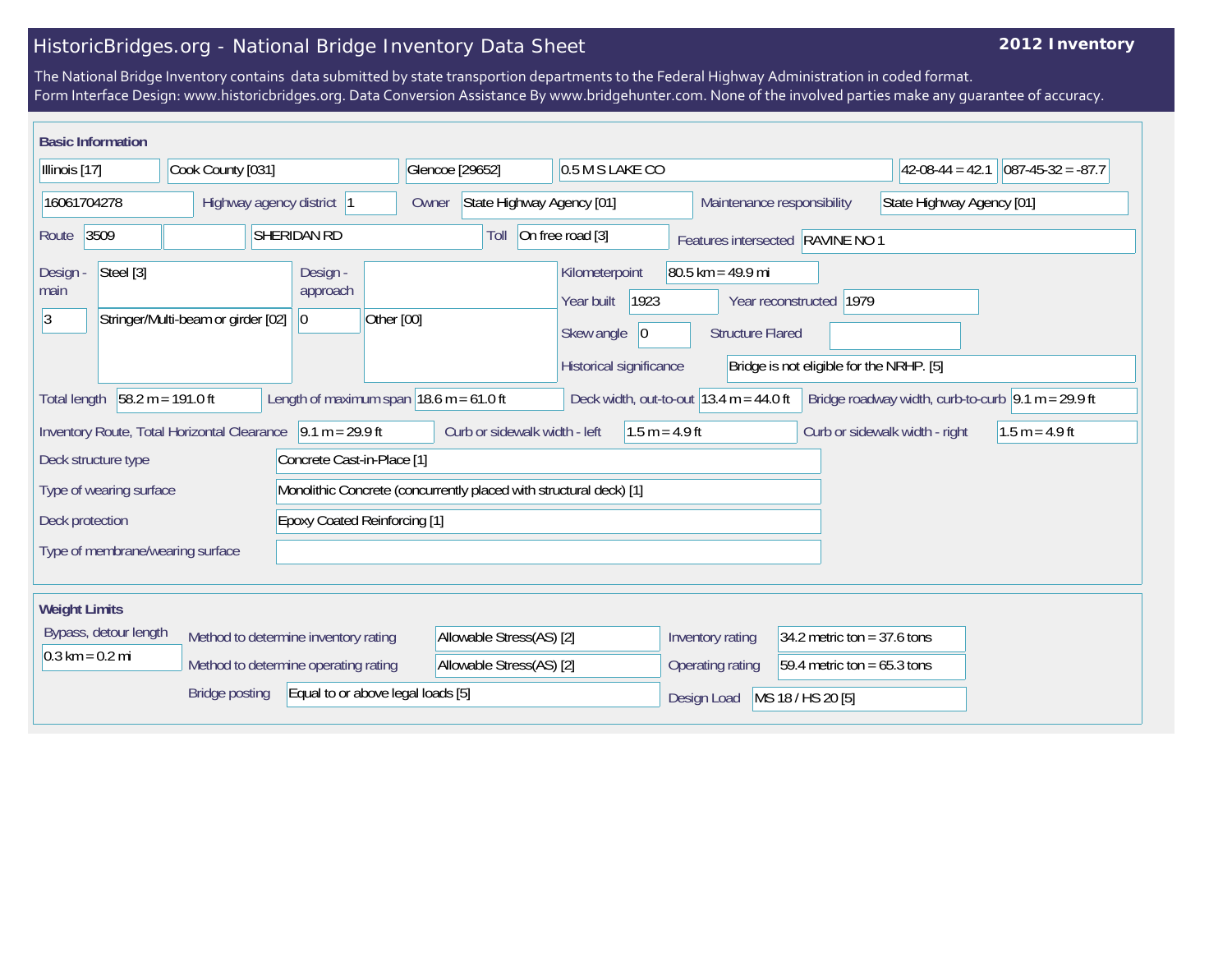## HistoricBridges.org - National Bridge Inventory Data Sheet

## **2012 Inventory**

The National Bridge Inventory contains data submitted by state transportion departments to the Federal Highway Administration in coded format. Form Interface Design: www.historicbridges.org. Data Conversion Assistance By www.bridgehunter.com. None of the involved parties make any guarantee of accuracy.

| <b>Basic Information</b>                                                                                                                                                                                                                               |           |                                    |                                      |                                                              |                          |                                    |                                                                       |                  |                                                |                                                                     |                           |                      |
|--------------------------------------------------------------------------------------------------------------------------------------------------------------------------------------------------------------------------------------------------------|-----------|------------------------------------|--------------------------------------|--------------------------------------------------------------|--------------------------|------------------------------------|-----------------------------------------------------------------------|------------------|------------------------------------------------|---------------------------------------------------------------------|---------------------------|----------------------|
| Illinois [17]                                                                                                                                                                                                                                          |           | Cook County [031]                  |                                      |                                                              |                          | Glencoe [29652]                    |                                                                       | 0.5 M S LAKE CO  |                                                |                                                                     | $42-08-44 = 42.1$         | $ 087-45-32 = -87.7$ |
| 16061704278                                                                                                                                                                                                                                            |           |                                    | Highway agency district 1            |                                                              |                          | State Highway Agency [01]<br>Owner |                                                                       |                  |                                                | Maintenance responsibility                                          | State Highway Agency [01] |                      |
| 3509<br><b>SHERIDAN RD</b><br>Route                                                                                                                                                                                                                    |           |                                    |                                      | On free road [3]<br>Toll<br>Features intersected RAVINE NO 1 |                          |                                    |                                                                       |                  |                                                |                                                                     |                           |                      |
| Design -<br>main<br>3                                                                                                                                                                                                                                  | Steel [3] | Stringer/Multi-beam or girder [02] |                                      | Design -<br>approach<br>$\overline{0}$                       | Other [00]               |                                    | Kilometerpoint<br>Year built<br>Skew angle<br>Historical significance | 1923<br> 0       | $80.5$ km = 49.9 mi<br><b>Structure Flared</b> | Year reconstructed 1979<br>Bridge is not eligible for the NRHP. [5] |                           |                      |
| $58.2 m = 191.0 ft$<br>Length of maximum span $ 18.6 \text{ m} = 61.0 \text{ ft} $<br>Deck width, out-to-out $ 13.4 \text{ m} = 44.0 \text{ ft} $<br>Bridge roadway width, curb-to-curb $\vert 9.1 \text{ m} = 29.9 \text{ ft}$<br><b>Total length</b> |           |                                    |                                      |                                                              |                          |                                    |                                                                       |                  |                                                |                                                                     |                           |                      |
| $9.1 m = 29.9 ft$<br>Inventory Route, Total Horizontal Clearance<br>Deck structure type<br>Concrete Cast-in-Place [1]                                                                                                                                  |           |                                    |                                      | Curb or sidewalk width - left<br>$1.5 m = 4.9 ft$            |                          |                                    | Curb or sidewalk width - right                                        | $1.5 m = 4.9 ft$ |                                                |                                                                     |                           |                      |
| Monolithic Concrete (concurrently placed with structural deck) [1]<br>Type of wearing surface                                                                                                                                                          |           |                                    |                                      |                                                              |                          |                                    |                                                                       |                  |                                                |                                                                     |                           |                      |
| Deck protection                                                                                                                                                                                                                                        |           |                                    | <b>Epoxy Coated Reinforcing [1]</b>  |                                                              |                          |                                    |                                                                       |                  |                                                |                                                                     |                           |                      |
| Type of membrane/wearing surface                                                                                                                                                                                                                       |           |                                    |                                      |                                                              |                          |                                    |                                                                       |                  |                                                |                                                                     |                           |                      |
| <b>Weight Limits</b>                                                                                                                                                                                                                                   |           |                                    |                                      |                                                              |                          |                                    |                                                                       |                  |                                                |                                                                     |                           |                      |
| Bypass, detour length                                                                                                                                                                                                                                  |           |                                    | Method to determine inventory rating |                                                              | Allowable Stress(AS) [2] |                                    |                                                                       | Inventory rating | 34.2 metric ton = $37.6$ tons                  |                                                                     |                           |                      |
| $0.3 \text{ km} = 0.2 \text{ mi}$                                                                                                                                                                                                                      |           |                                    | Method to determine operating rating |                                                              | Allowable Stress(AS) [2] |                                    |                                                                       | Operating rating | 59.4 metric ton = $65.3$ tons                  |                                                                     |                           |                      |
| Equal to or above legal loads [5]<br><b>Bridge posting</b>                                                                                                                                                                                             |           |                                    |                                      |                                                              |                          |                                    | MS 18 / HS 20 [5]<br>Design Load                                      |                  |                                                |                                                                     |                           |                      |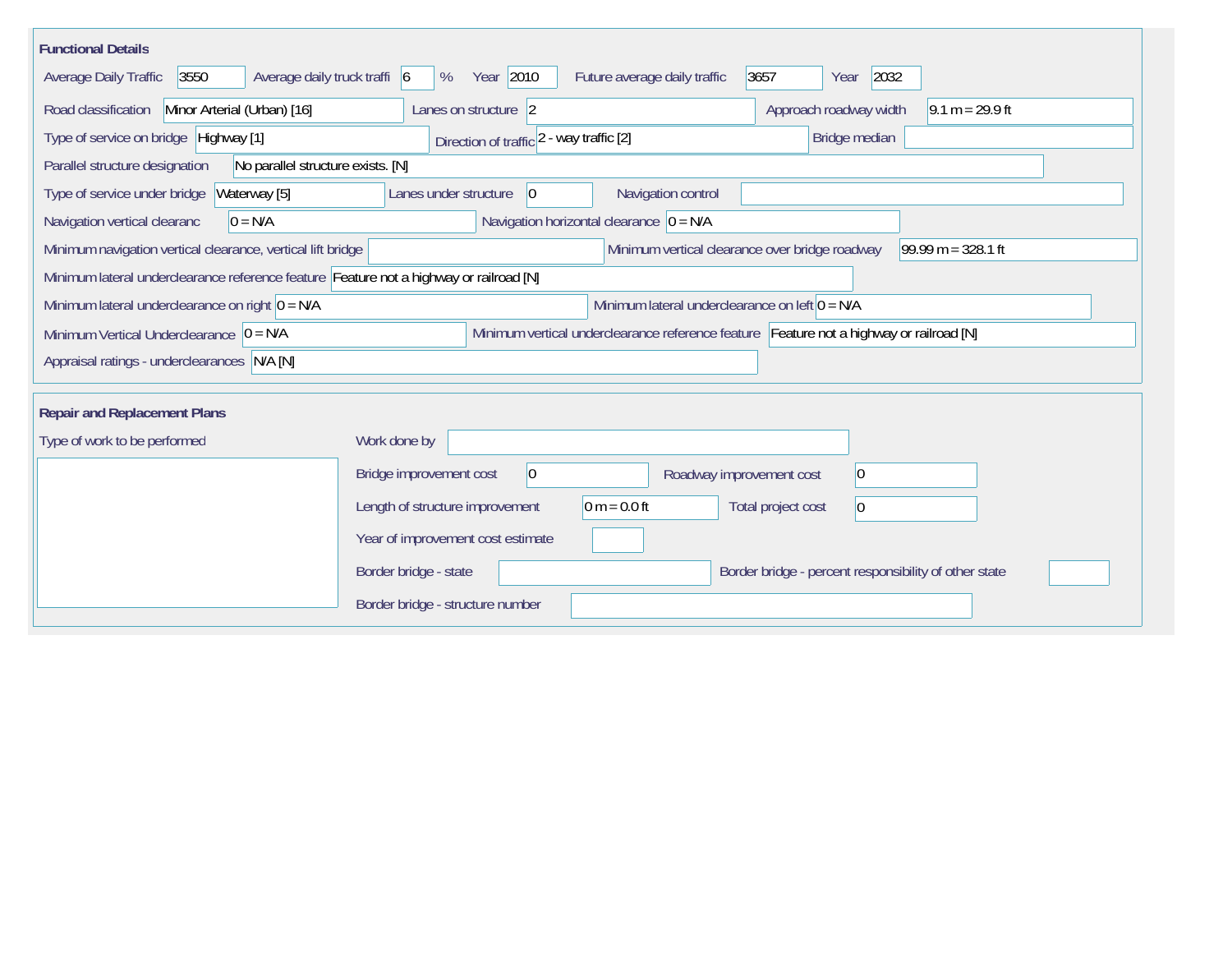| <b>Functional Details</b>                                                              |                                                                                         |
|----------------------------------------------------------------------------------------|-----------------------------------------------------------------------------------------|
| 3550<br>Average daily truck traffi 6<br>Average Daily Traffic                          | Year 2010<br>2032<br>Future average daily traffic<br>3657<br>%<br>Year                  |
| Road classification<br>Minor Arterial (Urban) [16]                                     | Approach roadway width<br>Lanes on structure 2<br>$9.1 m = 29.9 ft$                     |
| Type of service on bridge Highway [1]                                                  | Bridge median<br>Direction of traffic 2 - way traffic [2]                               |
| Parallel structure designation<br>No parallel structure exists. [N]                    |                                                                                         |
| Waterway [5]<br>Type of service under bridge                                           | Navigation control<br>Lanes under structure<br> 0                                       |
| $0 = N/A$<br>Navigation vertical clearanc                                              | Navigation horizontal clearance $ 0 = N/A$                                              |
| Minimum navigation vertical clearance, vertical lift bridge                            | Minimum vertical clearance over bridge roadway<br>$99.99 m = 328.1 ft$                  |
| Minimum lateral underclearance reference feature Feature not a highway or railroad [N] |                                                                                         |
| Minimum lateral underclearance on right $0 = N/A$                                      | Minimum lateral underclearance on left $0 = N/A$                                        |
| Minimum Vertical Underclearance $ 0 = N/A$                                             | Minimum vertical underclearance reference feature Feature not a highway or railroad [N] |
| Appraisal ratings - underclearances N/A [N]                                            |                                                                                         |
|                                                                                        |                                                                                         |
| <b>Repair and Replacement Plans</b>                                                    |                                                                                         |
| Type of work to be performed                                                           | Work done by                                                                            |
|                                                                                        | $\overline{0}$<br>Bridge improvement cost<br>$ 0\rangle$<br>Roadway improvement cost    |
|                                                                                        | $0 m = 0.0 ft$<br>Length of structure improvement<br>Total project cost<br>$ 0\rangle$  |
|                                                                                        | Year of improvement cost estimate                                                       |
|                                                                                        | Border bridge - state<br>Border bridge - percent responsibility of other state          |
|                                                                                        | Border bridge - structure number                                                        |